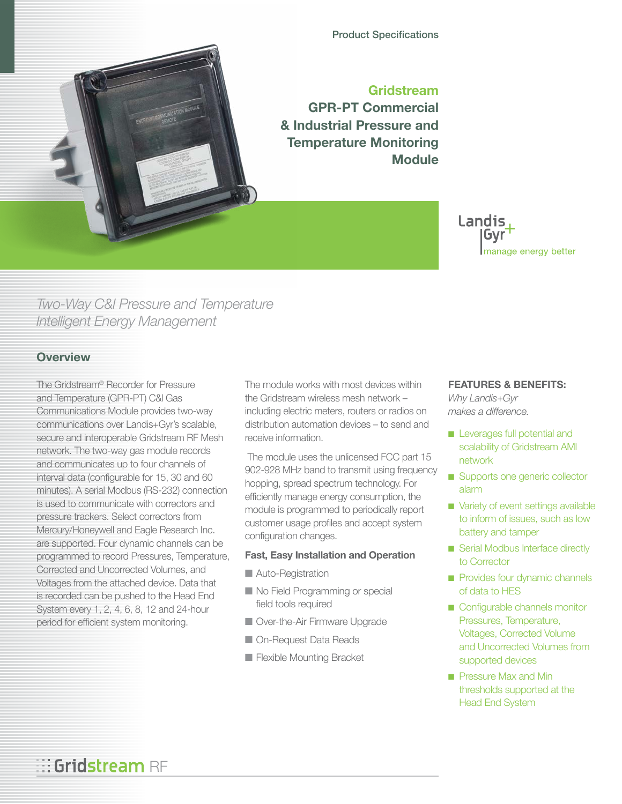

**Gridstream GPR-PT Commercial & Industrial Pressure and Temperature Monitoring Module**

> Landis Gvr manage energy better

# *Two-Way C&I Pressure and Temperature Intelligent Energy Management*

### **Overview**

The Gridstream® Recorder for Pressure and Temperature (GPR-PT) C&l Gas Communications Module provides two-way communications over Landis+Gyr's scalable, secure and interoperable Gridstream RF Mesh network. The two-way gas module records and communicates up to four channels of interval data (configurable for 15, 30 and 60 minutes). A serial Modbus (RS-232) connection is used to communicate with correctors and pressure trackers. Select correctors from Mercury/Honeywell and Eagle Research Inc. are supported. Four dynamic channels can be programmed to record Pressures, Temperature, Corrected and Uncorrected Volumes, and Voltages from the attached device. Data that is recorded can be pushed to the Head End System every 1, 2, 4, 6, 8, 12 and 24-hour period for efficient system monitoring.

The module works with most devices within the Gridstream wireless mesh network – including electric meters, routers or radios on distribution automation devices – to send and receive information.

 The module uses the unlicensed FCC part 15 902-928 MHz band to transmit using frequency hopping, spread spectrum technology. For efficiently manage energy consumption, the module is programmed to periodically report customer usage profiles and accept system configuration changes.

### **Fast, Easy Installation and Operation**

- Auto-Registration
- No Field Programming or special field tools required
- Over-the-Air Firmware Upgrade
- On-Request Data Reads
- Flexible Mounting Bracket

## **FEATURES & BENEFITS:**

*Why Landis+Gyr makes a difference.*

- Leverages full potential and scalability of Gridstream AMI network
- Supports one generic collector alarm
- Variety of event settings available to inform of issues, such as low battery and tamper
- Serial Modbus Interface directly to Corrector
- Provides four dynamic channels of data to HES
- Configurable channels monitor Pressures, Temperature, Voltages, Corrected Volume and Uncorrected Volumes from supported devices
- Pressure Max and Min thresholds supported at the Head End System

# **Gridstream** RF